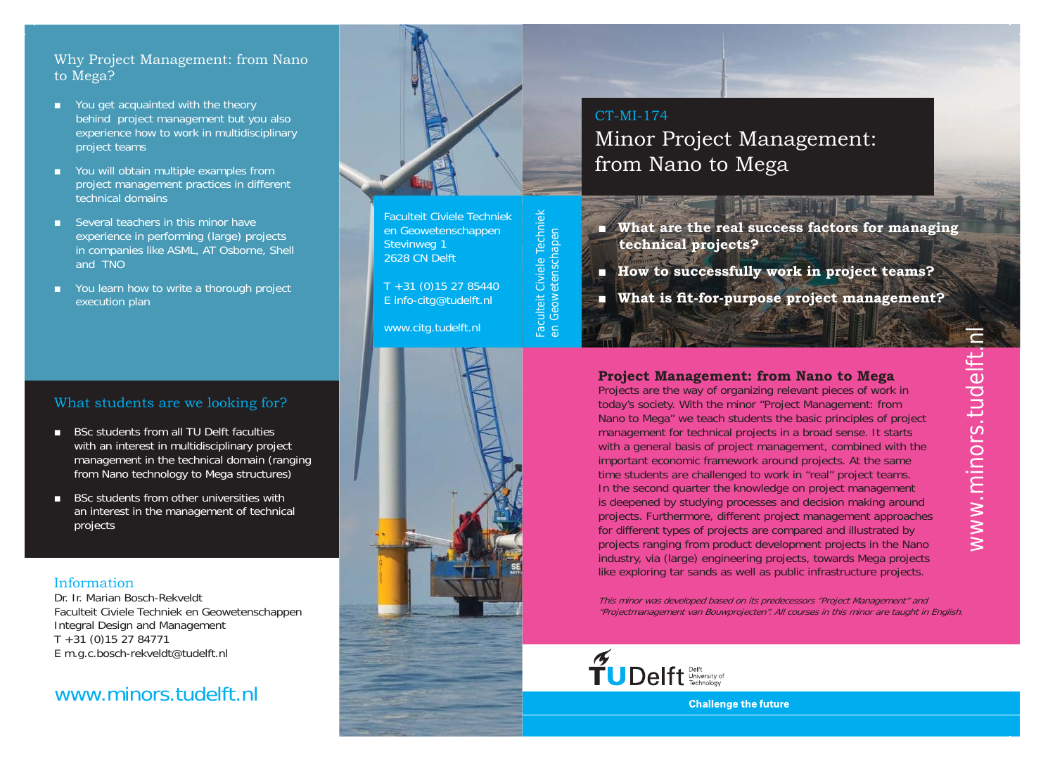### Why Project Management: from Nano to Mega?

- You get acquainted with the theory behind project management but you also experience how to work in multidisciplinary project teams
- You will obtain multiple examples from project management practices in different technical domains
- Several teachers in this minor have experience in performing (large) projects in companies like ASML, AT Osborne, Shell and TNO
- You learn how to write a thorough project execution plan

## What students are we looking for?

- ■BSc students from all TU Delft facultieswith an interest in multidisciplinary project management in the technical domain (ranging from Nano technology to Mega structures)
- BSc students from other universities with an interest in the management of technical projects

### Information

Dr. Ir. Marian Bosch-RekveldtFaculteit Civiele Techniek en Geowetenschappen Integral Design and Management T +31 (0)15 27 84771 E m.g.c.bosch-rekveldt@tudelft.nl

## www.minors.tudelft.nl



Faculteit Civiele Techniek en Geowetenschappen Stevinweg 1 2628 CN Delft

Faculteit Civiele Techniek en Geowetenschapen

Faculteit Civiele Techniel<br>en Geowetenschapen

T +31 (0)15 27 85440 E info-citg@tudelft.nl

www.citg.tudelft.nl



# CT-MI-174Minor Project Management: from Nano to Mega

- **What are the real success factors for managing technical projects?**
- ■**How to successfully work in project teams?**
- ■**What is fit-for-purpose project management?**

### **Project Management: from Nano to Mega**

Projects are the way of organizing relevant pieces of work in today's society. With the minor "Project Management: from Nano to Mega" we teach students the basic principles of project management for technical projects in a broad sense. It starts with a general basis of project management, combined with the important economic framework around projects. At the same time students are challenged to work in "real" project teams. In the second quarter the knowledge on project management is deepened by studying processes and decision making around projects. Furthermore, different project management approaches for different types of projects are compared and illustrated by projects ranging from product development projects in the Nano industry, via (large) engineering projects, towards Mega projects like exploring tar sands as well as public infrastructure projects.

This minor was developed based on its predecessors "Project Management" and "Projectmanagement van Bouwprojecten". All courses in this minor are taught in English.



**Challenge the future**